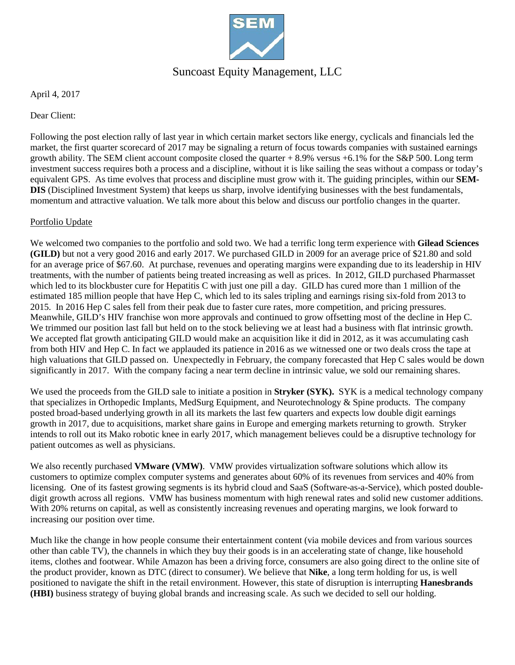

## Suncoast Equity Management, LLC

April 4, 2017

Dear Client:

Following the post election rally of last year in which certain market sectors like energy, cyclicals and financials led the market, the first quarter scorecard of 2017 may be signaling a return of focus towards companies with sustained earnings growth ability. The SEM client account composite closed the quarter + 8.9% versus +6.1% for the S&P 500. Long term investment success requires both a process and a discipline, without it is like sailing the seas without a compass or today's equivalent GPS. As time evolves that process and discipline must grow with it. The guiding principles, within our **SEM-DIS** (Disciplined Investment System) that keeps us sharp, involve identifying businesses with the best fundamentals, momentum and attractive valuation. We talk more about this below and discuss our portfolio changes in the quarter.

### Portfolio Update

We welcomed two companies to the portfolio and sold two. We had a terrific long term experience with **Gilead Sciences (GILD)** but not a very good 2016 and early 2017. We purchased GILD in 2009 for an average price of \$21.80 and sold for an average price of \$67.60. At purchase, revenues and operating margins were expanding due to its leadership in HIV treatments, with the number of patients being treated increasing as well as prices. In 2012, GILD purchased Pharmasset which led to its blockbuster cure for Hepatitis C with just one pill a day. GILD has cured more than 1 million of the estimated 185 million people that have Hep C, which led to its sales tripling and earnings rising six-fold from 2013 to 2015. In 2016 Hep C sales fell from their peak due to faster cure rates, more competition, and pricing pressures. Meanwhile, GILD's HIV franchise won more approvals and continued to grow offsetting most of the decline in Hep C. We trimmed our position last fall but held on to the stock believing we at least had a business with flat intrinsic growth. We accepted flat growth anticipating GILD would make an acquisition like it did in 2012, as it was accumulating cash from both HIV and Hep C. In fact we applauded its patience in 2016 as we witnessed one or two deals cross the tape at high valuations that GILD passed on. Unexpectedly in February, the company forecasted that Hep C sales would be down significantly in 2017. With the company facing a near term decline in intrinsic value, we sold our remaining shares.

We used the proceeds from the GILD sale to initiate a position in **Stryker (SYK).** SYK is a medical technology company that specializes in Orthopedic Implants, MedSurg Equipment, and Neurotechnology & Spine products. The company posted broad-based underlying growth in all its markets the last few quarters and expects low double digit earnings growth in 2017, due to acquisitions, market share gains in Europe and emerging markets returning to growth. Stryker intends to roll out its Mako robotic knee in early 2017, which management believes could be a disruptive technology for patient outcomes as well as physicians.

We also recently purchased **VMware (VMW)**. VMW provides virtualization software solutions which allow its customers to optimize complex computer systems and generates about 60% of its revenues from services and 40% from licensing. One of its fastest growing segments is its hybrid cloud and SaaS (Software-as-a-Service), which posted doubledigit growth across all regions. VMW has business momentum with high renewal rates and solid new customer additions. With 20% returns on capital, as well as consistently increasing revenues and operating margins, we look forward to increasing our position over time.

Much like the change in how people consume their entertainment content (via mobile devices and from various sources other than cable TV), the channels in which they buy their goods is in an accelerating state of change, like household items, clothes and footwear. While Amazon has been a driving force, consumers are also going direct to the online site of the product provider, known as DTC (direct to consumer). We believe that **Nike**, a long term holding for us, is well positioned to navigate the shift in the retail environment. However, this state of disruption is interrupting **Hanesbrands (HBI)** business strategy of buying global brands and increasing scale. As such we decided to sell our holding.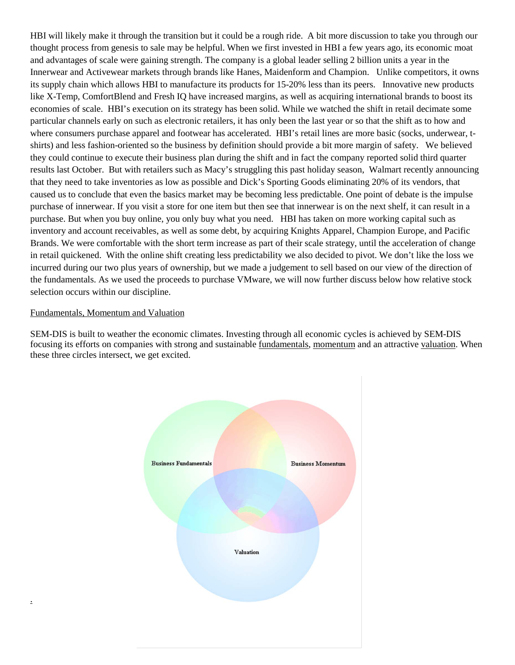HBI will likely make it through the transition but it could be a rough ride. A bit more discussion to take you through our thought process from genesis to sale may be helpful. When we first invested in HBI a few years ago, its economic moat and advantages of scale were gaining strength. The company is a global leader selling 2 billion units a year in the Innerwear and Activewear markets through brands like Hanes, Maidenform and Champion. Unlike competitors, it owns its supply chain which allows HBI to manufacture its products for 15-20% less than its peers. Innovative new products like X-Temp, ComfortBlend and Fresh IQ have increased margins, as well as acquiring international brands to boost its economies of scale. HBI's execution on its strategy has been solid. While we watched the shift in retail decimate some particular channels early on such as electronic retailers, it has only been the last year or so that the shift as to how and where consumers purchase apparel and footwear has accelerated. HBI's retail lines are more basic (socks, underwear, tshirts) and less fashion-oriented so the business by definition should provide a bit more margin of safety. We believed they could continue to execute their business plan during the shift and in fact the company reported solid third quarter results last October. But with retailers such as Macy's struggling this past holiday season, Walmart recently announcing that they need to take inventories as low as possible and Dick's Sporting Goods eliminating 20% of its vendors, that caused us to conclude that even the basics market may be becoming less predictable. One point of debate is the impulse purchase of innerwear. If you visit a store for one item but then see that innerwear is on the next shelf, it can result in a purchase. But when you buy online, you only buy what you need. HBI has taken on more working capital such as inventory and account receivables, as well as some debt, by acquiring Knights Apparel, Champion Europe, and Pacific Brands. We were comfortable with the short term increase as part of their scale strategy, until the acceleration of change in retail quickened. With the online shift creating less predictability we also decided to pivot. We don't like the loss we incurred during our two plus years of ownership, but we made a judgement to sell based on our view of the direction of the fundamentals. As we used the proceeds to purchase VMware, we will now further discuss below how relative stock selection occurs within our discipline.

#### Fundamentals, Momentum and Valuation

.

SEM-DIS is built to weather the economic climates. Investing through all economic cycles is achieved by SEM-DIS focusing its efforts on companies with strong and sustainable fundamentals, momentum and an attractive valuation. When these three circles intersect, we get excited.

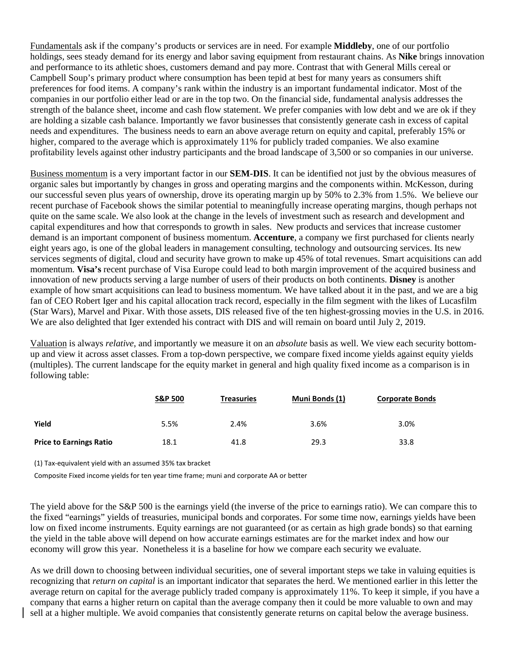Fundamentals ask if the company's products or services are in need. For example **Middleby**, one of our portfolio holdings, sees steady demand for its energy and labor saving equipment from restaurant chains. As **Nike** brings innovation and performance to its athletic shoes, customers demand and pay more. Contrast that with General Mills cereal or Campbell Soup's primary product where consumption has been tepid at best for many years as consumers shift preferences for food items. A company's rank within the industry is an important fundamental indicator. Most of the companies in our portfolio either lead or are in the top two. On the financial side, fundamental analysis addresses the strength of the balance sheet, income and cash flow statement. We prefer companies with low debt and we are ok if they are holding a sizable cash balance. Importantly we favor businesses that consistently generate cash in excess of capital needs and expenditures. The business needs to earn an above average return on equity and capital, preferably 15% or higher, compared to the average which is approximately 11% for publicly traded companies. We also examine profitability levels against other industry participants and the broad landscape of 3,500 or so companies in our universe.

Business momentum is a very important factor in our **SEM-DIS**. It can be identified not just by the obvious measures of organic sales but importantly by changes in gross and operating margins and the components within. McKesson, during our successful seven plus years of ownership, drove its operating margin up by 50% to 2.3% from 1.5%. We believe our recent purchase of Facebook shows the similar potential to meaningfully increase operating margins, though perhaps not quite on the same scale. We also look at the change in the levels of investment such as research and development and capital expenditures and how that corresponds to growth in sales. New products and services that increase customer demand is an important component of business momentum. **Accenture**, a company we first purchased for clients nearly eight years ago, is one of the global leaders in management consulting, technology and outsourcing services. Its new services segments of digital, cloud and security have grown to make up 45% of total revenues. Smart acquisitions can add momentum. **Visa's** recent purchase of Visa Europe could lead to both margin improvement of the acquired business and innovation of new products serving a large number of users of their products on both continents. **Disney** is another example of how smart acquisitions can lead to business momentum. We have talked about it in the past, and we are a big fan of CEO Robert Iger and his capital allocation track record, especially in the film segment with the likes of Lucasfilm (Star Wars), Marvel and Pixar. With those assets, DIS released five of the ten highest-grossing movies in the U.S. in 2016. We are also delighted that Iger extended his contract with DIS and will remain on board until July 2, 2019.

Valuation is always *relative*, and importantly we measure it on an *absolute* basis as well. We view each security bottomup and view it across asset classes. From a top-down perspective, we compare fixed income yields against equity yields (multiples). The current landscape for the equity market in general and high quality fixed income as a comparison is in following table:

|                                | <b>S&amp;P 500</b> | <b>Treasuries</b> | Muni Bonds (1) | <b>Corporate Bonds</b> |
|--------------------------------|--------------------|-------------------|----------------|------------------------|
| Yield                          | 5.5%               | 2.4%              | 3.6%           | 3.0%                   |
| <b>Price to Earnings Ratio</b> | 18.1               | 41.8              | 29.3           | 33.8                   |

(1) Tax-equivalent yield with an assumed 35% tax bracket

Composite Fixed income yields for ten year time frame; muni and corporate AA or better

The yield above for the S&P 500 is the earnings yield (the inverse of the price to earnings ratio). We can compare this to the fixed "earnings" yields of treasuries, municipal bonds and corporates. For some time now, earnings yields have been low on fixed income instruments. Equity earnings are not guaranteed (or as certain as high grade bonds) so that earning the yield in the table above will depend on how accurate earnings estimates are for the market index and how our economy will grow this year. Nonetheless it is a baseline for how we compare each security we evaluate.

As we drill down to choosing between individual securities, one of several important steps we take in valuing equities is recognizing that *return on capital* is an important indicator that separates the herd. We mentioned earlier in this letter the average return on capital for the average publicly traded company is approximately 11%. To keep it simple, if you have a company that earns a higher return on capital than the average company then it could be more valuable to own and may sell at a higher multiple. We avoid companies that consistently generate returns on capital below the average business.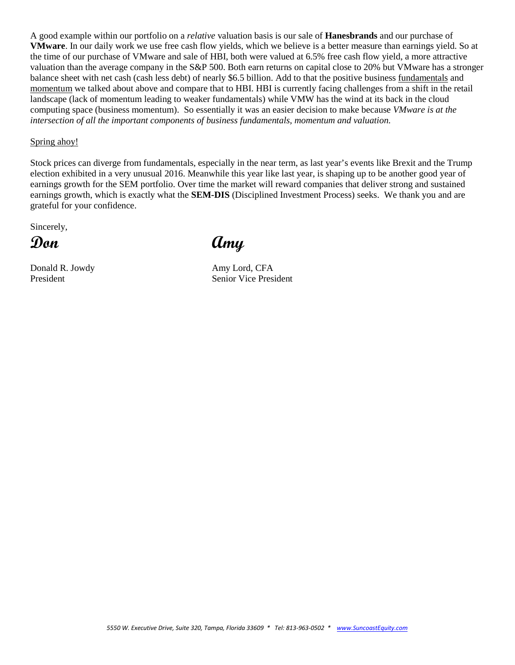A good example within our portfolio on a *relative* valuation basis is our sale of **Hanesbrands** and our purchase of **VMware**. In our daily work we use free cash flow yields, which we believe is a better measure than earnings yield. So at the time of our purchase of VMware and sale of HBI, both were valued at 6.5% free cash flow yield, a more attractive valuation than the average company in the S&P 500. Both earn returns on capital close to 20% but VMware has a stronger balance sheet with net cash (cash less debt) of nearly \$6.5 billion. Add to that the positive business fundamentals and momentum we talked about above and compare that to HBI. HBI is currently facing challenges from a shift in the retail landscape (lack of momentum leading to weaker fundamentals) while VMW has the wind at its back in the cloud computing space (business momentum). So essentially it was an easier decision to make because *VMware is at the intersection of all the important components of business fundamentals, momentum and valuation.*

#### Spring ahoy!

Stock prices can diverge from fundamentals, especially in the near term, as last year's events like Brexit and the Trump election exhibited in a very unusual 2016. Meanwhile this year like last year, is shaping up to be another good year of earnings growth for the SEM portfolio. Over time the market will reward companies that deliver strong and sustained earnings growth, which is exactly what the **SEM-DIS** (Disciplined Investment Process) seeks. We thank you and are grateful for your confidence.

Sincerely,

Donald R. Jowdy **Amy Lord, CFA** 

**Don Amy**

President Senior Vice President